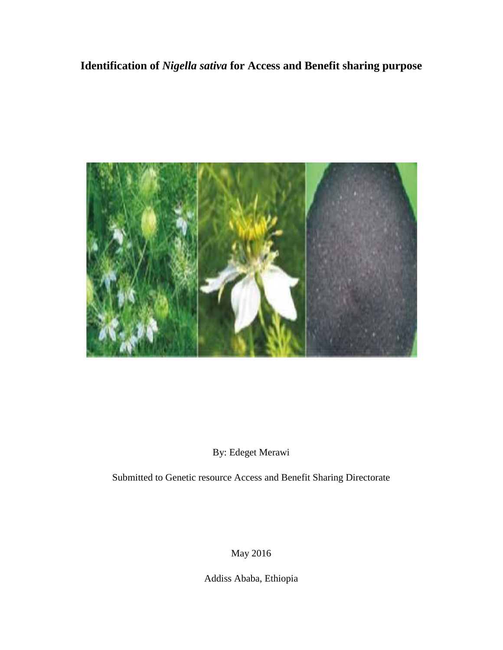# **Identification of** *Nigella sativa* **for Access and Benefit sharing purpose**



# By: Edeget Merawi

Submitted to Genetic resource Access and Benefit Sharing Directorate

May 2016

Addiss Ababa, Ethiopia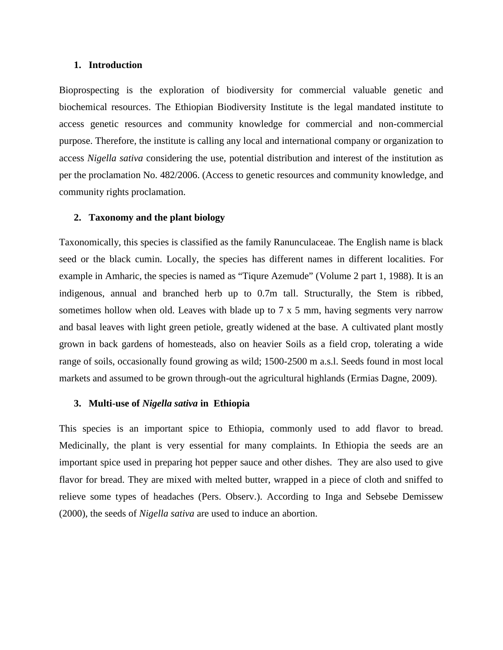#### **1. Introduction**

Bioprospecting is the exploration of biodiversity for commercial valuable genetic and biochemical resources. The Ethiopian Biodiversity Institute is the legal mandated institute to access genetic resources and community knowledge for commercial and non-commercial purpose. Therefore, the institute is calling any local and international company or organization to access *Nigella sativa* considering the use, potential distribution and interest of the institution as per the proclamation No. 482/2006. (Access to genetic resources and community knowledge, and community rights proclamation.

#### **2. Taxonomy and the plant biology**

Taxonomically, this species is classified as the family Ranunculaceae. The English name is black seed or the black cumin. Locally, the species has different names in different localities. For example in Amharic, the species is named as "Tiqure Azemude" (Volume 2 part 1, 1988). It is an indigenous, annual and branched herb up to 0.7m tall. Structurally, the Stem is ribbed, sometimes hollow when old. Leaves with blade up to 7 x 5 mm, having segments very narrow and basal leaves with light green petiole, greatly widened at the base*.* A cultivated plant mostly grown in back gardens of homesteads, also on heavier Soils as a field crop, tolerating a wide range of soils, occasionally found growing as wild; 1500-2500 m a.s.l. Seeds found in most local markets and assumed to be grown through-out the agricultural highlands (Ermias Dagne, 2009).

#### **3. Multi-use of** *Nigella sativa* **in Ethiopia**

This species is an important spice to Ethiopia, commonly used to add flavor to bread*.* Medicinally, the plant is very essential for many complaints. In Ethiopia the seeds are an important spice used in preparing hot pepper sauce and other dishes. They are also used to give flavor for bread. They are mixed with melted butter, wrapped in a piece of cloth and sniffed to relieve some types of headaches (Pers. Observ.). According to Inga and Sebsebe Demissew (2000), the seeds of *Nigella sativa* are used to induce an abortion.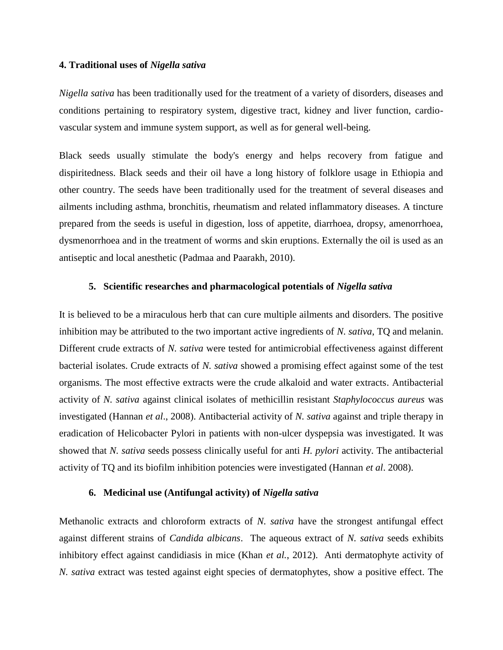### **4. Traditional uses of** *Nigella sativa*

*Nigella sativa* has been traditionally used for the treatment of a variety of disorders, diseases and conditions pertaining to respiratory system, digestive tract, kidney and liver function, cardio vascular system and immune system support, as well as for general well-being.

Black seeds usually stimulate the body's energy and helps recovery from fatigue and dispiritedness. Black seeds and their oil have a long history of folklore usage in Ethiopia and other country. The seeds have been traditionally used for the treatment of several diseases and ailments including asthma, bronchitis, rheumatism and related inflammatory diseases. A tincture prepared from the seeds is useful in digestion, loss of appetite, diarrhoea, dropsy, amenorrhoea, dysmenorrhoea and in the treatment of worms and skin eruptions. Externally the oil is used as an antiseptic and local anesthetic (Padmaa and Paarakh, 2010).

#### **5. Scientific researches and pharmacological potentials of** *Nigella sativa*

It is believed to be a miraculous herb that can cure multiple ailments and disorders. The positive inhibition may be attributed to the two important active ingredients of *N. sativa*, TQ and melanin. Different crude extracts of *N. sativa* were tested for antimicrobial effectiveness against different bacterial isolates. Crude extracts of *N. sativa* showed a promising effect against some of the test organisms. The most effective extracts were the crude alkaloid and water extracts. Antibacterial activity of *N. sativa* against clinical isolates of methicillin resistant *Staphylococcus aureus* was investigated (Hannan *et al*., 2008). Antibacterial activity of *N. sativa* against and triple therapy in eradication of Helicobacter Pylori in patients with non-ulcer dyspepsia was investigated. It was showed that *N. sativa* seeds possess clinically useful for anti *H. pylori* activity. The antibacterial activity of TQ and its biofilm inhibition potencies were investigated (Hannan *et al*. 2008).

#### **6. Medicinal use (Antifungal activity) of** *Nigella sativa*

Methanolic extracts and chloroform extracts of *N. sativa* have the strongest antifungal effect against different strains of *Candida albicans*. The aqueous extract of *N. sativa* seeds exhibits inhibitory effect against candidiasis in mice (Khan *et al.*, 2012). Anti dermatophyte activity of *N. sativa* extract was tested against eight species of dermatophytes, show a positive effect. The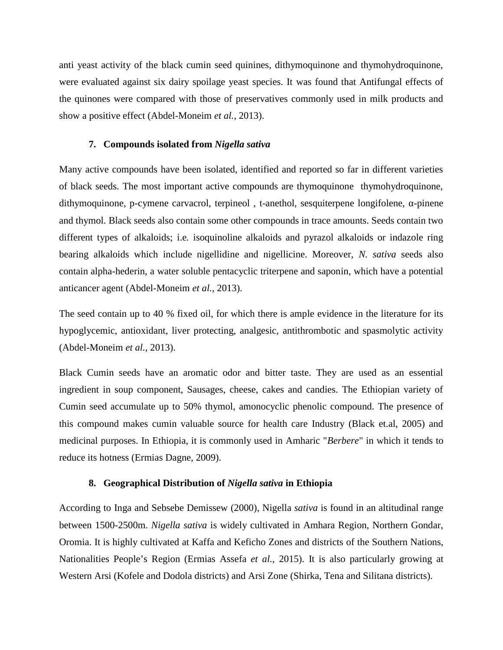anti yeast activity of the black cumin seed quinines, dithymoquinone and thymohydroquinone, were evaluated against six dairy spoilage yeast species. It was found that Antifungal effects of the quinones were compared with those of preservatives commonly used in milk products and show a positive effect (Abdel-Moneim *et al.*, 2013).

## **7. Compounds isolated from** *Nigella sativa*

Many active compounds have been isolated, identified and reported so far in different varieties of black seeds. The most important active compounds are thymoquinone thymohydroquinone, dithymoquinone, p-cymene carvacrol, terpineol, t-anethol, sesquiterpene longifolene, -pinene and thymol. Black seeds also contain some other compounds in trace amounts. Seeds contain two different types of alkaloids; i.e*.* isoquinoline alkaloids and pyrazol alkaloids or indazole ring bearing alkaloids which include nigellidine and nigellicine. Moreover, *N. sativa* seeds also contain alpha-hederin, a water soluble pentacyclic triterpene and saponin, which have a potential anticancer agent (Abdel-Moneim *et al.,* 2013).

The seed contain up to 40 % fixed oil, for which there is ample evidence in the literature for its hypoglycemic, antioxidant, liver protecting, analgesic, antithrombotic and spasmolytic activity (Abdel-Moneim *et al.*, 2013).

Black Cumin seeds have an aromatic odor and bitter taste. They are used as an essential ingredient in soup component, Sausages, cheese, cakes and candies. The Ethiopian variety of Cumin seed accumulate up to 50% thymol, amonocyclic phenolic compound. The presence of this compound makes cumin valuable source for health care Industry (Black et.al, 2005) and medicinal purposes. In Ethiopia, it is commonly used in Amharic "*Berbere*" in which it tends to reduce its hotness (Ermias Dagne, 2009).

#### **8. Geographical Distribution of** *Nigella sativa* **in Ethiopia**

According to Inga and Sebsebe Demissew (2000), Nigella *sativa* is found in an altitudinal range between 1500-2500m. *Nigella sativa* is widely cultivated in Amhara Region, Northern Gondar, Oromia. It is highly cultivated at Kaffa and Keficho Zones and districts of the Southern Nations, Nationalities People's Region (Ermias Assefa *et al.*, 2015). It is also particularly growing at Western Arsi (Kofele and Dodola districts) and Arsi Zone (Shirka, Tena and Silitana districts).